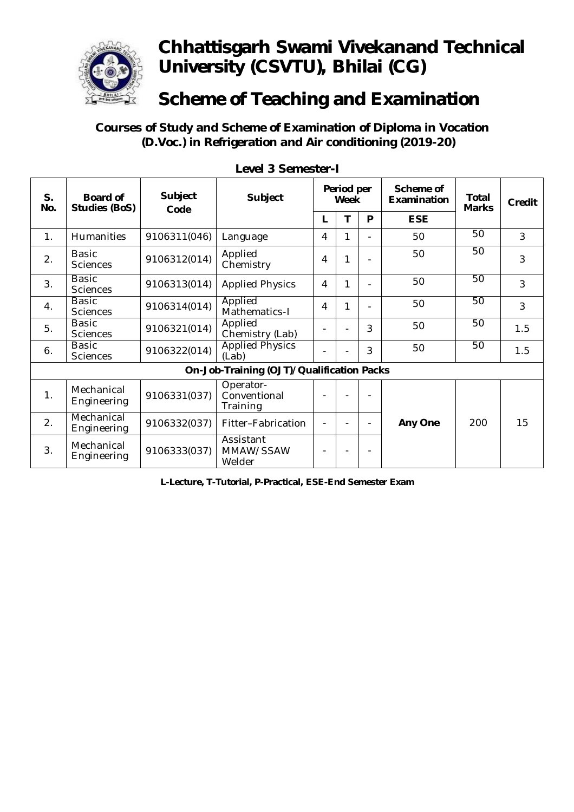

#### **Scheme of Teaching and Examination**

#### **Courses of Study and Scheme of Examination of Diploma in Vocation (D.Voc.) in Refrigeration and Air conditioning (2019-20)**

| S.<br>No. | <b>Board of</b><br><b>Studies (BoS)</b> | <b>Subject</b><br>Code | <b>Subject</b>                            | Period per<br>Week |   |                          | Scheme of<br>Examination | <b>Total</b><br><b>Marks</b> | Credit |  |
|-----------|-----------------------------------------|------------------------|-------------------------------------------|--------------------|---|--------------------------|--------------------------|------------------------------|--------|--|
|           |                                         |                        |                                           | L                  | т | P                        | <b>ESE</b>               |                              |        |  |
| 1.        | <b>Humanities</b>                       | 9106311(046)           | Language                                  | 4                  | 1 |                          | 50                       | 50                           | 3      |  |
| 2.        | <b>Basic</b><br><b>Sciences</b>         | 9106312(014)           | Applied<br>Chemistry                      | 4                  | 1 |                          | 50                       | 50                           | 3      |  |
| 3.        | <b>Basic</b><br><b>Sciences</b>         | 9106313(014)           | <b>Applied Physics</b>                    | 4                  | 1 |                          | 50                       | 50                           | 3      |  |
| 4.        | <b>Basic</b><br><b>Sciences</b>         | 9106314(014)           | Applied<br>Mathematics-I                  | 4                  | 1 |                          | 50                       | 50                           | 3      |  |
| 5.        | <b>Basic</b><br><b>Sciences</b>         | 9106321(014)           | Applied<br>Chemistry (Lab)                |                    |   | 3                        | 50                       | 50                           | 1.5    |  |
| 6.        | <b>Basic</b><br><b>Sciences</b>         | 9106322(014)           | <b>Applied Physics</b><br>(Lab)           |                    |   | 3                        | 50                       | 50                           | 1.5    |  |
|           |                                         |                        | On-Job-Training (OJT)/Qualification Packs |                    |   |                          |                          |                              |        |  |
| 1.        | Mechanical<br>Engineering               | 9106331(037)           | Operator-<br>Conventional<br>Training     |                    |   | ÷,                       |                          |                              |        |  |
| 2.        | Mechanical<br>Engineering               | 9106332(037)           | Fitter-Fabrication                        |                    |   | $\overline{\phantom{0}}$ | <b>Any One</b>           | 200                          | 15     |  |
| 3.        | Mechanical<br>Engineering               | 9106333(037)           | Assistant<br>MMAW/SSAW<br>Welder          |                    |   | ٠                        |                          |                              |        |  |

**Level 3 Semester-I**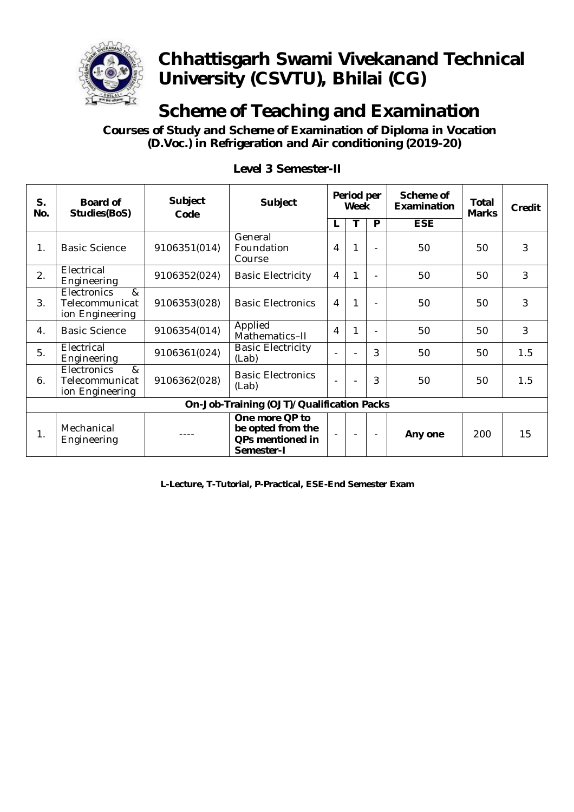

# **Scheme of Teaching and Examination**

 **Courses of Study and Scheme of Examination of Diploma in Vocation (D.Voc.) in Refrigeration and Air conditioning (2019-20)**

| S.<br>No. | <b>Board of</b><br><b>Studies(BoS)</b>                                                | <b>Subject</b><br>Code | Subject                                                               | Period per<br>Week |   |                | Scheme of<br>Examination | <b>Total</b><br><b>Marks</b> | Credit         |
|-----------|---------------------------------------------------------------------------------------|------------------------|-----------------------------------------------------------------------|--------------------|---|----------------|--------------------------|------------------------------|----------------|
|           |                                                                                       |                        |                                                                       | L                  |   | P              | <b>ESE</b>               |                              |                |
| 1.        | <b>Basic Science</b>                                                                  | 9106351(014)           | General<br>Foundation<br>Course                                       | 4                  | 1 | L.             | 50                       | 50                           | 3              |
| 2.        | Electrical<br>Engineering                                                             | 9106352(024)           | <b>Basic Electricity</b>                                              | 4                  | 1 |                | 50                       | 50                           | 3              |
| 3.        | <b>Electronics</b><br>$\boldsymbol{\mathcal{R}}$<br>Telecommunicat<br>ion Engineering | 9106353(028)           | <b>Basic Electronics</b>                                              | 4                  | 1 |                | 50                       | 50                           | 3              |
| 4.        | <b>Basic Science</b>                                                                  | 9106354(014)           | Applied<br>Mathematics-II                                             | 4                  |   | $\blacksquare$ | 50                       | 50                           | $\overline{3}$ |
| 5.        | Electrical<br>Engineering                                                             | 9106361(024)           | <b>Basic Electricity</b><br>(Lab)                                     |                    |   | 3              | 50                       | 50                           | 1.5            |
| 6.        | Electronics<br>&<br>Telecommunicat<br>ion Engineering                                 | 9106362(028)           | <b>Basic Electronics</b><br>(Lab)                                     |                    |   | 3              | 50                       | 50                           | 1.5            |
|           | On-Job-Training (OJT)/Qualification Packs                                             |                        |                                                                       |                    |   |                |                          |                              |                |
| 1.        | Mechanical<br>Engineering                                                             |                        | One more QP to<br>be opted from the<br>QPs mentioned in<br>Semester-I |                    |   | $\blacksquare$ | Any one                  | 200                          | 15             |

#### **Level 3 Semester-II**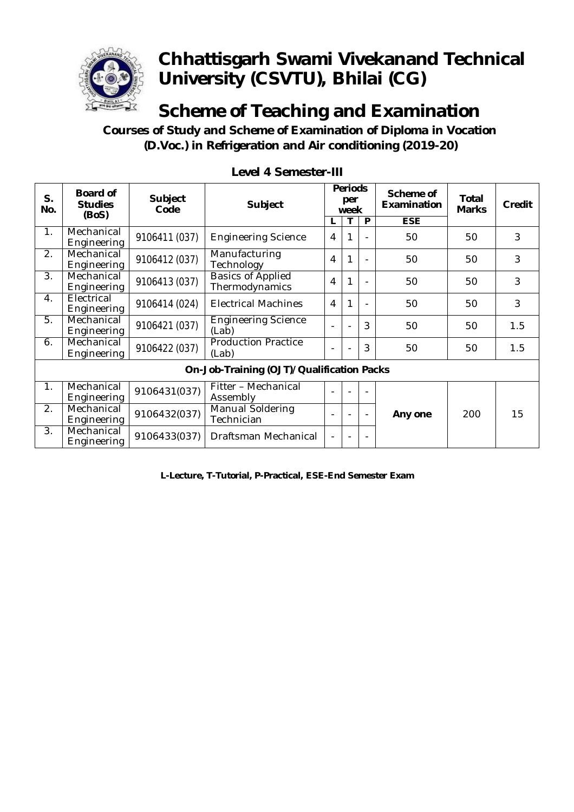

**Scheme of Teaching and Examination**

 **Courses of Study and Scheme of Examination of Diploma in Vocation (D.Voc.) in Refrigeration and Air conditioning (2019-20)**

| S.<br>No.                                 | <b>Board of</b><br><b>Studies</b><br>(BoS) | <b>Subject</b><br>Code | <b>Subject</b>                             |    | <b>Periods</b><br>per<br>week |                          |                  |     | P<br>L |  |  |  |  |  |  |  | Scheme of<br>Examination | Total<br><b>Marks</b> | Credit |
|-------------------------------------------|--------------------------------------------|------------------------|--------------------------------------------|----|-------------------------------|--------------------------|------------------|-----|--------|--|--|--|--|--|--|--|--------------------------|-----------------------|--------|
| $\mathbf{1}$ .                            | Mechanical<br>Engineering                  | 9106411 (037)          | <b>Engineering Science</b>                 | 4  |                               |                          | <b>ESE</b><br>50 | 50  | 3      |  |  |  |  |  |  |  |                          |                       |        |
| 2.                                        | Mechanical<br>Engineering                  | 9106412 (037)          | Manufacturing<br>Technology                | 4  | 1                             | $\overline{\phantom{a}}$ | 50               | 50  | 3      |  |  |  |  |  |  |  |                          |                       |        |
| 3.                                        | Mechanical<br>Engineering                  | 9106413 (037)          | <b>Basics of Applied</b><br>Thermodynamics | 4  | 1                             |                          | 50               | 50  | 3      |  |  |  |  |  |  |  |                          |                       |        |
| $\mathbf{4}$ .                            | Electrical<br>Engineering                  | 9106414 (024)          | <b>Electrical Machines</b>                 | 4  | 1                             |                          | 50               | 50  | 3      |  |  |  |  |  |  |  |                          |                       |        |
| 5.                                        | Mechanical<br>Engineering                  | 9106421 (037)          | <b>Engineering Science</b><br>(Lab)        | ÷, |                               | 3                        | 50               | 50  | 1.5    |  |  |  |  |  |  |  |                          |                       |        |
| 6.                                        | Mechanical<br>Engineering                  | 9106422 (037)          | <b>Production Practice</b><br>(Lab)        | ۰  |                               | 3                        | 50               | 50  | 1.5    |  |  |  |  |  |  |  |                          |                       |        |
| On-Job-Training (OJT)/Qualification Packs |                                            |                        |                                            |    |                               |                          |                  |     |        |  |  |  |  |  |  |  |                          |                       |        |
| 1.                                        | Mechanical<br>Engineering                  | 9106431(037)           | Fitter - Mechanical<br>Assembly            |    |                               |                          |                  |     |        |  |  |  |  |  |  |  |                          |                       |        |
| 2.                                        | Mechanical<br>Engineering                  | 9106432(037)           | Manual Soldering<br>Technician             | ٠  |                               |                          | Any one          | 200 | 15     |  |  |  |  |  |  |  |                          |                       |        |
| 3.                                        | Mechanical<br>Engineering                  | 9106433(037)           | Draftsman Mechanical                       | ÷, |                               |                          |                  |     |        |  |  |  |  |  |  |  |                          |                       |        |

**Level 4 Semester-III**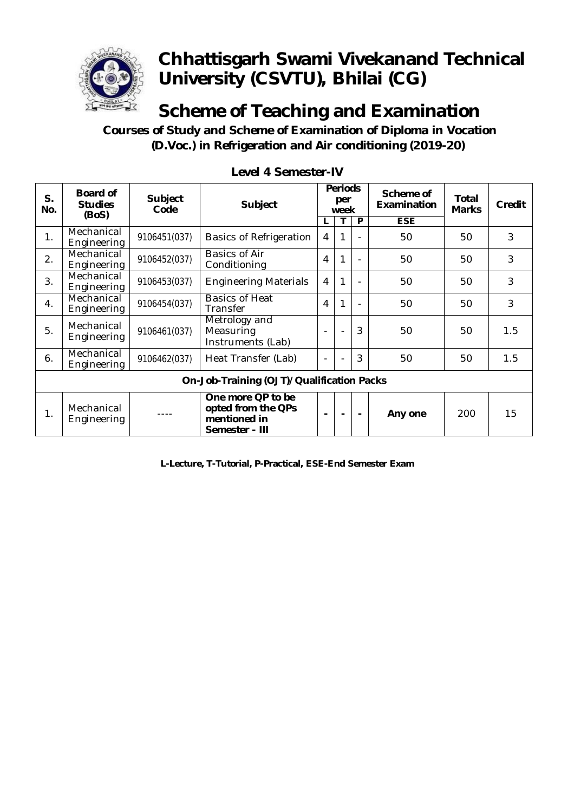

**Scheme of Teaching and Examination**

 **Courses of Study and Scheme of Examination of Diploma in Vocation (D.Voc.) in Refrigeration and Air conditioning (2019-20)**

| S.<br>No.                                 | <b>Board of</b><br><b>Studies</b><br>(BoS) | <b>Subject</b><br>Code | <b>Subject</b>                                                            |                          | <b>Periods</b><br>per<br>week |   |            |     |     |  | Scheme of<br><b>Examination</b> | Total<br><b>Marks</b> | Credit |
|-------------------------------------------|--------------------------------------------|------------------------|---------------------------------------------------------------------------|--------------------------|-------------------------------|---|------------|-----|-----|--|---------------------------------|-----------------------|--------|
|                                           |                                            |                        |                                                                           |                          | т                             | P | <b>ESE</b> |     |     |  |                                 |                       |        |
| 1.                                        | Mechanical<br>Engineering                  | 9106451(037)           | <b>Basics of Refrigeration</b>                                            | $\overline{4}$           | 1                             |   | 50         | 50  | 3   |  |                                 |                       |        |
| 2.                                        | Mechanical<br>Engineering                  | 9106452(037)           | <b>Basics of Air</b><br>Conditioning                                      | $\overline{4}$           | 1                             |   | 50         | 50  | 3   |  |                                 |                       |        |
| 3.                                        | Mechanical<br>Engineering                  | 9106453(037)           | <b>Engineering Materials</b>                                              | $\overline{4}$           | 1                             |   | 50         | 50  | 3   |  |                                 |                       |        |
| 4.                                        | Mechanical<br>Engineering                  | 9106454(037)           | <b>Basics of Heat</b><br>Transfer                                         | $\overline{4}$           | 1                             |   | 50         | 50  | 3   |  |                                 |                       |        |
| 5.                                        | Mechanical<br>Engineering                  | 9106461(037)           | Metrology and<br>Measuring<br>Instruments (Lab)                           | $\overline{\phantom{0}}$ | $\blacksquare$                | 3 | 50         | 50  | 1.5 |  |                                 |                       |        |
| 6.                                        | Mechanical<br>Engineering                  | 9106462(037)           | Heat Transfer (Lab)                                                       |                          |                               | 3 | 50         | 50  | 1.5 |  |                                 |                       |        |
| On-Job-Training (OJT)/Qualification Packs |                                            |                        |                                                                           |                          |                               |   |            |     |     |  |                                 |                       |        |
| 1.                                        | Mechanical<br>Engineering                  |                        | One more QP to be<br>opted from the QPs<br>mentioned in<br>Semester - III |                          | $\blacksquare$                |   | Any one    | 200 | 15  |  |                                 |                       |        |

**Level 4 Semester-IV**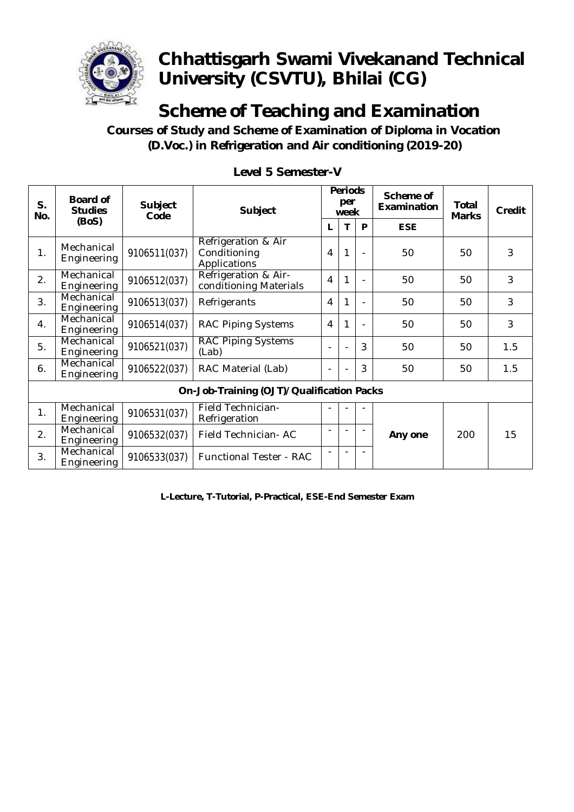

# **Scheme of Teaching and Examination**

 **Courses of Study and Scheme of Examination of Diploma in Vocation (D.Voc.) in Refrigeration and Air conditioning (2019-20)**

| S.<br>No.                                 | <b>Board of</b><br><b>Studies</b> | <b>Subject</b><br>Code | <b>Subject</b>                                      | <b>Periods</b><br>per<br>week |   |   | Scheme of<br>Examination | <b>Total</b><br><b>Marks</b> | Credit |
|-------------------------------------------|-----------------------------------|------------------------|-----------------------------------------------------|-------------------------------|---|---|--------------------------|------------------------------|--------|
|                                           | (BoS)                             |                        |                                                     | L                             | T | P | <b>ESE</b>               |                              |        |
| 1.                                        | Mechanical<br>Engineering         | 9106511(037)           | Refrigeration & Air<br>Conditioning<br>Applications | 4                             | 1 |   | 50                       | 50                           | 3      |
| 2.                                        | Mechanical<br>Engineering         | 9106512(037)           | Refrigeration & Air-<br>conditioning Materials      | 4                             | 1 |   | 50                       | 50                           | 3      |
| 3.                                        | Mechanical<br>Engineering         | 9106513(037)           | Refrigerants                                        | 4                             | 1 |   | 50                       | 50                           | 3      |
| 4.                                        | Mechanical<br>Engineering         | 9106514(037)           | <b>RAC Piping Systems</b>                           | 4                             | 1 |   | 50                       | 50                           | 3      |
| 5.                                        | Mechanical<br>Engineering         | 9106521(037)           | <b>RAC Piping Systems</b><br>(Lab)                  |                               |   | 3 | 50                       | 50                           | 1.5    |
| 6.                                        | Mechanical<br>Engineering         | 9106522(037)           | RAC Material (Lab)                                  |                               |   | 3 | 50                       | 50                           | 1.5    |
| On-Job-Training (OJT)/Qualification Packs |                                   |                        |                                                     |                               |   |   |                          |                              |        |
| 1.                                        | Mechanical<br>Engineering         | 9106531(037)           | <b>Field Technician-</b><br>Refrigeration           |                               |   |   |                          |                              |        |
| 2.                                        | Mechanical<br>Engineering         | 9106532(037)           | Field Technician-AC                                 |                               |   |   | Any one                  | 200                          | 15     |
| 3.                                        | Mechanical<br>Engineering         | 9106533(037)           | <b>Functional Tester - RAC</b>                      |                               |   |   |                          |                              |        |

#### **Level 5 Semester-V**